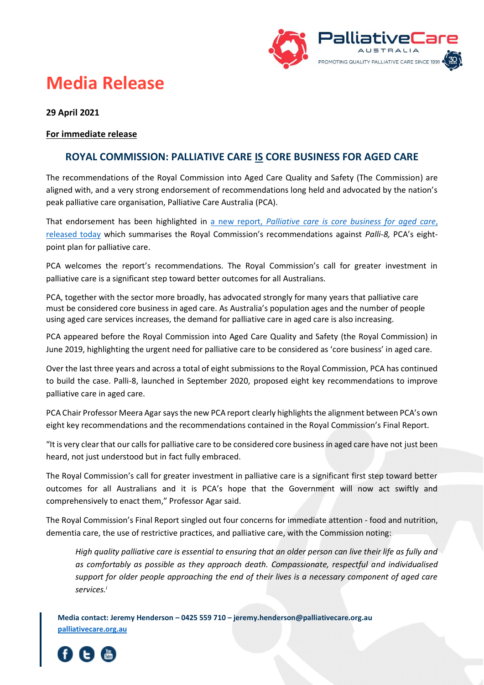

## **Media Release**

## **29 April 2021**

## **For immediate release**

## **ROYAL COMMISSION: PALLIATIVE CARE IS CORE BUSINESS FOR AGED CARE**

The recommendations of the Royal Commission into Aged Care Quality and Safety (The Commission) are aligned with, and a very strong endorsement of recommendations long held and advocated by the nation's peak palliative care organisation, Palliative Care Australia (PCA).

That endorsement has been highlighted in a new report, *[Palliative care is core business for](https://palliativecare.org.au/palli8-core-business-in-aged-care) aged care*, [released today](https://palliativecare.org.au/palli8-core-business-in-aged-care) which summarises the Royal Commission's recommendations against *Palli-8,* PCA's eightpoint plan for palliative care.

PCA welcomes the report's recommendations. The Royal Commission's call for greater investment in palliative care is a significant step toward better outcomes for all Australians.

PCA, together with the sector more broadly, has advocated strongly for many years that palliative care must be considered core business in aged care. As Australia's population ages and the number of people using aged care services increases, the demand for palliative care in aged care is also increasing.

PCA appeared before the Royal Commission into Aged Care Quality and Safety (the Royal Commission) in June 2019, highlighting the urgent need for palliative care to be considered as 'core business' in aged care.

Over the last three years and across a total of eight submissions to the Royal Commission, PCA has continued to build the case. Palli-8, launched in September 2020, proposed eight key recommendations to improve palliative care in aged care.

PCA Chair Professor Meera Agar says the new PCA report clearly highlights the alignment between PCA's own eight key recommendations and the recommendations contained in the Royal Commission's Final Report.

"It is very clear that our calls for palliative care to be considered core business in aged care have not just been heard, not just understood but in fact fully embraced.

The Royal Commission's call for greater investment in palliative care is a significant first step toward better outcomes for all Australians and it is PCA's hope that the Government will now act swiftly and comprehensively to enact them," Professor Agar said.

The Royal Commission's Final Report singled out four concerns for immediate attention - food and nutrition, dementia care, the use of restrictive practices, and palliative care, with the Commission noting:

*High quality palliative care is essential to ensuring that an older person can live their life as fully and as comfortably as possible as they approach death. Compassionate, respectful and individualised support for older people approaching the end of their lives is a necessary component of aged care services.i*

**Media contact: Jeremy Henderson – 0425 559 710 – jeremy.henderson@palliativecare.org.au [palliativecare.org.au](http://www.palliativecare.org.au/)**